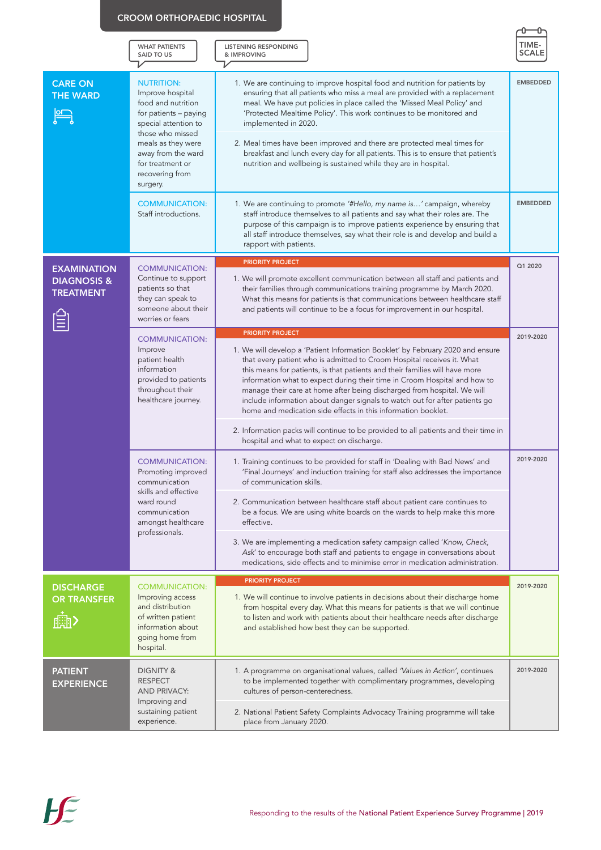|                                                                  | <b>WHAT PATIENTS</b><br>SAID TO US                                                                                                                                                                                              | <b>LISTENING RESPONDING</b><br>& IMPROVING                                                                                                                                                                                                                                                                                                                                                                                                                                                                                                                                                                                                                                                                     | TIME<br>SCALE   |
|------------------------------------------------------------------|---------------------------------------------------------------------------------------------------------------------------------------------------------------------------------------------------------------------------------|----------------------------------------------------------------------------------------------------------------------------------------------------------------------------------------------------------------------------------------------------------------------------------------------------------------------------------------------------------------------------------------------------------------------------------------------------------------------------------------------------------------------------------------------------------------------------------------------------------------------------------------------------------------------------------------------------------------|-----------------|
| <b>CARE ON</b><br><b>THE WARD</b>                                | <b>NUTRITION:</b><br>Improve hospital<br>food and nutrition<br>for patients - paying<br>special attention to<br>those who missed<br>meals as they were<br>away from the ward<br>for treatment or<br>recovering from<br>surgery. | 1. We are continuing to improve hospital food and nutrition for patients by<br>ensuring that all patients who miss a meal are provided with a replacement<br>meal. We have put policies in place called the 'Missed Meal Policy' and<br>'Protected Mealtime Policy'. This work continues to be monitored and<br>implemented in 2020.<br>2. Meal times have been improved and there are protected meal times for<br>breakfast and lunch every day for all patients. This is to ensure that patient's<br>nutrition and wellbeing is sustained while they are in hospital.                                                                                                                                        | <b>EMBEDDED</b> |
|                                                                  | <b>COMMUNICATION:</b><br>Staff introductions.                                                                                                                                                                                   | 1. We are continuing to promote '#Hello, my name is' campaign, whereby<br>staff introduce themselves to all patients and say what their roles are. The<br>purpose of this campaign is to improve patients experience by ensuring that<br>all staff introduce themselves, say what their role is and develop and build a<br>rapport with patients.                                                                                                                                                                                                                                                                                                                                                              | <b>EMBEDDED</b> |
| <b>EXAMINATION</b><br><b>DIAGNOSIS &amp;</b><br><b>TREATMENT</b> | <b>COMMUNICATION:</b><br>Continue to support<br>patients so that<br>they can speak to<br>someone about their<br>worries or fears                                                                                                | <b>PRIORITY PROJECT</b><br>1. We will promote excellent communication between all staff and patients and<br>their families through communications training programme by March 2020.<br>What this means for patients is that communications between healthcare staff<br>and patients will continue to be a focus for improvement in our hospital.                                                                                                                                                                                                                                                                                                                                                               | Q1 2020         |
|                                                                  | <b>COMMUNICATION:</b><br>Improve<br>patient health<br>information<br>provided to patients<br>throughout their<br>healthcare journey.                                                                                            | <b>PRIORITY PROJECT</b><br>1. We will develop a 'Patient Information Booklet' by February 2020 and ensure<br>that every patient who is admitted to Croom Hospital receives it. What<br>this means for patients, is that patients and their families will have more<br>information what to expect during their time in Croom Hospital and how to<br>manage their care at home after being discharged from hospital. We will<br>include information about danger signals to watch out for after patients go<br>home and medication side effects in this information booklet.<br>2. Information packs will continue to be provided to all patients and their time in<br>hospital and what to expect on discharge. | 2019-2020       |
|                                                                  | <b>COMMUNICATION:</b><br>Promoting improved<br>communication<br>skills and effective<br>ward round<br>communication<br>amongst healthcare<br>professionals.                                                                     | 1. Training continues to be provided for staff in 'Dealing with Bad News' and<br>'Final Journeys' and induction training for staff also addresses the importance<br>of communication skills.<br>2. Communication between healthcare staff about patient care continues to<br>be a focus. We are using white boards on the wards to help make this more<br>effective.<br>3. We are implementing a medication safety campaign called 'Know, Check,<br>Ask' to encourage both staff and patients to engage in conversations about<br>medications, side effects and to minimise error in medication administration.                                                                                                | 2019-2020       |
| <b>DISCHARGE</b><br><b>OR TRANSFER</b>                           | <b>COMMUNICATION:</b><br>Improving access<br>and distribution<br>of written patient<br>information about<br>going home from<br>hospital.                                                                                        | <b>PRIORITY PROJECT</b><br>1. We will continue to involve patients in decisions about their discharge home<br>from hospital every day. What this means for patients is that we will continue<br>to listen and work with patients about their healthcare needs after discharge<br>and established how best they can be supported.                                                                                                                                                                                                                                                                                                                                                                               | 2019-2020       |
| <b>PATIENT</b><br><b>EXPERIENCE</b>                              | <b>DIGNITY &amp;</b><br><b>RESPECT</b><br><b>AND PRIVACY:</b><br>Improving and<br>sustaining patient<br>experience.                                                                                                             | 1. A programme on organisational values, called 'Values in Action', continues<br>to be implemented together with complimentary programmes, developing<br>cultures of person-centeredness.<br>2. National Patient Safety Complaints Advocacy Training programme will take<br>place from January 2020.                                                                                                                                                                                                                                                                                                                                                                                                           | 2019-2020       |